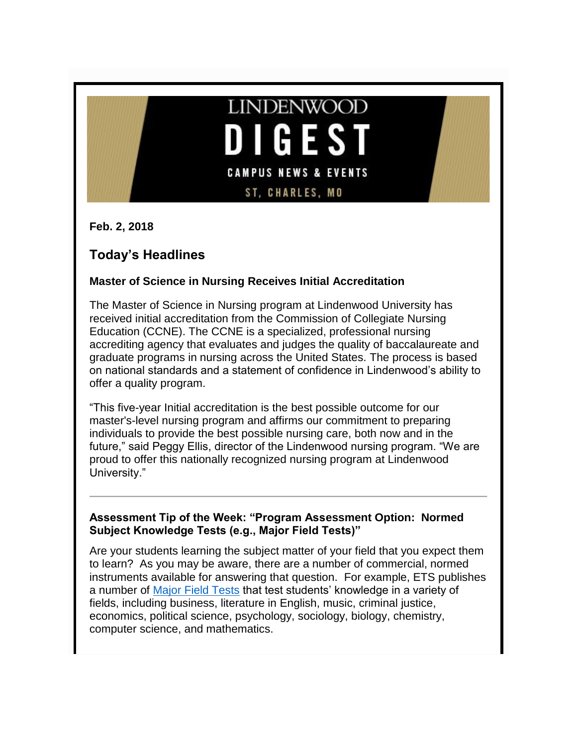

**Feb. 2, 2018**

# **Today's Headlines**

## **Master of Science in Nursing Receives Initial Accreditation**

The Master of Science in Nursing program at Lindenwood University has received initial accreditation from the Commission of Collegiate Nursing Education (CCNE). The CCNE is a specialized, professional nursing accrediting agency that evaluates and judges the quality of baccalaureate and graduate programs in nursing across the United States. The process is based on national standards and a statement of confidence in Lindenwood's ability to offer a quality program.

"This five-year Initial accreditation is the best possible outcome for our master's-level nursing program and affirms our commitment to preparing individuals to provide the best possible nursing care, both now and in the future," said Peggy Ellis, director of the Lindenwood nursing program. "We are proud to offer this nationally recognized nursing program at Lindenwood University."

## **Assessment Tip of the Week: "Program Assessment Option: Normed Subject Knowledge Tests (e.g., Major Field Tests)"**

Are your students learning the subject matter of your field that you expect them to learn? As you may be aware, there are a number of commercial, normed instruments available for answering that question. For example, ETS publishes a number of [Major Field Tests](https://www.ets.org/mft/about) that test students' knowledge in a variety of fields, including business, literature in English, music, criminal justice, economics, political science, psychology, sociology, biology, chemistry, computer science, and mathematics.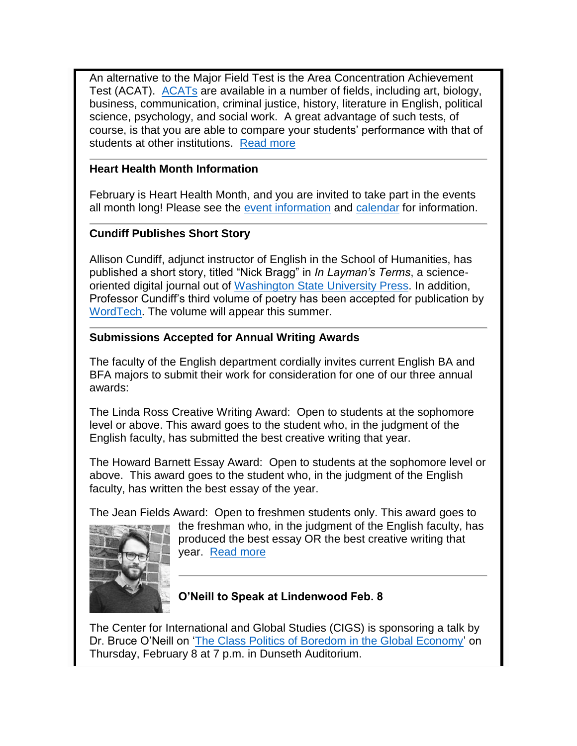An alternative to the Major Field Test is the Area Concentration Achievement Test (ACAT). [ACATs](https://www.collegeoutcomes.com/) are available in a number of fields, including art, biology, business, communication, criminal justice, history, literature in English, political science, psychology, and social work. A great advantage of such tests, of course, is that you are able to compare your students' performance with that of students at other institutions. [Read more](http://felix.lindenwood.edu/newsletter/2018_02/assessmenttip_feb2.pdf)

## **Heart Health Month Information**

February is Heart Health Month, and you are invited to take part in the events all month long! Please see the [event information](http://felix.lindenwood.edu/newsletter/2018_02/hearthealthinfo.pdf) and [calendar](http://felix.lindenwood.edu/newsletter/2018_02/heartcalendar.pdf) for information.

# **Cundiff Publishes Short Story**

Allison Cundiff, adjunct instructor of English in the School of Humanities, has published a short story, titled "Nick Bragg" in *In Layman's Terms*, a scienceoriented digital journal out of [Washington State University Press.](https://iltreview.com/about/) In addition, Professor Cundiff's third volume of poetry has been accepted for publication by [WordTech.](https://www.wordtechcommunications.com/index.html) The volume will appear this summer.

## **Submissions Accepted for Annual Writing Awards**

The faculty of the English department cordially invites current English BA and BFA majors to submit their work for consideration for one of our three annual awards:

The Linda Ross Creative Writing Award: Open to students at the sophomore level or above. This award goes to the student who, in the judgment of the English faculty, has submitted the best creative writing that year.

The Howard Barnett Essay Award: Open to students at the sophomore level or above. This award goes to the student who, in the judgment of the English faculty, has written the best essay of the year.

The Jean Fields Award: Open to freshmen students only. This award goes to



the freshman who, in the judgment of the English faculty, has produced the best essay OR the best creative writing that year. [Read more](http://felix.lindenwood.edu/newsletter/2018_02/writingaward.pdf)

# **O'Neill to Speak at Lindenwood Feb. 8**

The Center for International and Global Studies (CIGS) is sponsoring a talk by Dr. Bruce O'Neill on ['The Class Politics of Boredom in the Global Economy'](http://www.lindenwood.edu/academics/centers-institutes/center-for-international-and-global-studies/speaker-series/bruce-oneill-the-class-of-boredom-in-the-global-economy/) on Thursday, February 8 at 7 p.m. in Dunseth Auditorium.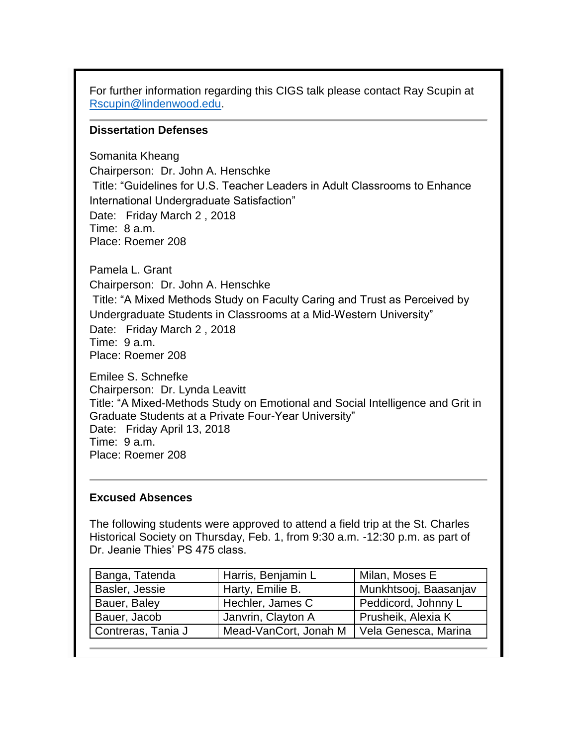For further information regarding this CIGS talk please contact Ray Scupin at [Rscupin@lindenwood.edu.](mailto:Rscupin@lindenwood.edu)

#### **Dissertation Defenses**

Somanita Kheang Chairperson: Dr. John A. Henschke Title: "Guidelines for U.S. Teacher Leaders in Adult Classrooms to Enhance International Undergraduate Satisfaction" Date: Friday March 2 , 2018 Time: 8 a.m. Place: Roemer 208

Pamela L. Grant

Chairperson: Dr. John A. Henschke

Title: "A Mixed Methods Study on Faculty Caring and Trust as Perceived by Undergraduate Students in Classrooms at a Mid-Western University"

Date: Friday March 2 , 2018 Time: 9 a.m. Place: Roemer 208

Emilee S. Schnefke Chairperson: Dr. Lynda Leavitt Title: "A Mixed-Methods Study on Emotional and Social Intelligence and Grit in Graduate Students at a Private Four-Year University" Date: Friday April 13, 2018 Time: 9 a.m. Place: Roemer 208

#### **Excused Absences**

The following students were approved to attend a field trip at the St. Charles Historical Society on Thursday, Feb. 1, from 9:30 a.m. -12:30 p.m. as part of Dr. Jeanie Thies' PS 475 class.

| Banga, Tatenda     | Harris, Benjamin L    | Milan, Moses E        |
|--------------------|-----------------------|-----------------------|
| Basler, Jessie     | Harty, Emilie B.      | Munkhtsooj, Baasanjav |
| Bauer, Baley       | Hechler, James C      | Peddicord, Johnny L   |
| Bauer, Jacob       | Janvrin, Clayton A    | Prusheik, Alexia K    |
| Contreras, Tania J | Mead-VanCort, Jonah M | Vela Genesca, Marina  |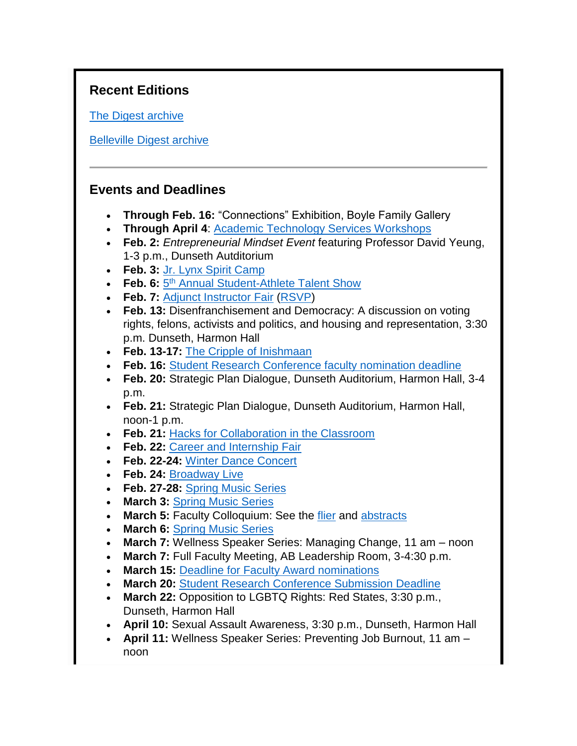# **Recent Editions**

[The Digest archive](http://www.lindenwood.edu/about/digest-archives/)

[Belleville Digest archive](http://www.lindenwood.edu/belleville/about/lindenwood-belleville-digest-archives/)

# **Events and Deadlines**

- **Through Feb. 16:** "Connections" Exhibition, Boyle Family Gallery
- **Through April 4**: [Academic Technology Services Workshops](http://felix.lindenwood.edu/newsletter/2018_01/ats_spring_catalog.pdf)
- **Feb. 2:** *Entrepreneurial Mindset Event* featuring Professor David Yeung, 1-3 p.m., Dunseth Autditorium
- **Feb. 3:** [Jr. Lynx Spirit Camp](https://register.myonlinecamp.com/camp.cfm?sport=2&id=109428)
- **Feb. 6:**  $5<sup>th</sup>$  [Annual Student-Athlete Talent Show](http://felix.lindenwood.edu/newsletter/2018_01/talentshow2018.jpg)
- **Feb. 7:** [Adjunct Instructor Fair](http://felix.lindenwood.edu/newsletter/2018_01/adjunctfair.pdf) [\(RSVP\)](https://www.eventbrite.com/o/lindenwood-human-resources-11113458435)
- **Feb. 13:** Disenfranchisement and Democracy: A discussion on voting rights, felons, activists and politics, and housing and representation, 3:30 p.m. Dunseth, Harmon Hall
- **Feb. 13-17:** [The Cripple of Inishmaan](http://www.lindenwood.edu/j-scheidegger-center-for-the-arts/upcoming-events/university-theater/the-cripple-of-inishmaan-feb-13-17/)
- **Feb. 16:** [Student Research Conference faculty nomination deadline](http://www.lindenwood.edu/academics/beyond-the-classroom/student-research/srse-faculty-nominations/)
- **Feb. 20:** Strategic Plan Dialogue, Dunseth Auditorium, Harmon Hall, 3-4 p.m.
- **Feb. 21:** Strategic Plan Dialogue, Dunseth Auditorium, Harmon Hall, noon-1 p.m.
- **Feb. 21:** [Hacks for Collaboration in the Classroom](http://felix.lindenwood.edu/newsletter/2018_01/collaborationflier.pdf)
- **Feb. 22:** [Career and Internship Fair](http://felix.lindenwood.edu/newsletter/2017_12/careerinternshipfair.pdf)
- **Feb. 22-24:** [Winter Dance Concert](http://www.lindenwood.edu/j-scheidegger-center-for-the-arts/upcoming-events/dance/winter-dance-concert/)
- **Feb. 24:** [Broadway Live](http://www.lindenwood.edu/j-scheidegger-center-for-the-arts/upcoming-events/main-stage-season/broadway-live-februray-24/)
- **Feb. 27-28:** [Spring Music Series](http://www.lindenwood.edu/j-scheidegger-center-for-the-arts/upcoming-events/music/)
- **March 3:** [Spring Music Series](http://www.lindenwood.edu/j-scheidegger-center-for-the-arts/upcoming-events/music/)
- March 5: Faculty Colloquium: See the [flier](http://felix.lindenwood.edu/newsletter/2018_01/colloquiumflier.pdf) and [abstracts](http://felix.lindenwood.edu/newsletter/2018_01/colloquiumabstracts.pdf)
- **March 6:** [Spring Music Series](http://www.lindenwood.edu/j-scheidegger-center-for-the-arts/upcoming-events/music/)
- **March 7:** Wellness Speaker Series: Managing Change, 11 am noon
- **March 7:** Full Faculty Meeting, AB Leadership Room, 3-4:30 p.m.
- **March 15:** [Deadline for Faculty Award nominations](http://felix.lindenwood.edu/newsletter/2018_01/facultyawards.pdf)
- **March 20:** [Student Research Conference Submission Deadline](http://www.lindenwood.edu/academics/beyond-the-classroom/student-research/student-applications/)
- **March 22:** Opposition to LGBTQ Rights: Red States, 3:30 p.m., Dunseth, Harmon Hall
- **April 10:** Sexual Assault Awareness, 3:30 p.m., Dunseth, Harmon Hall
- **April 11:** Wellness Speaker Series: Preventing Job Burnout, 11 am noon